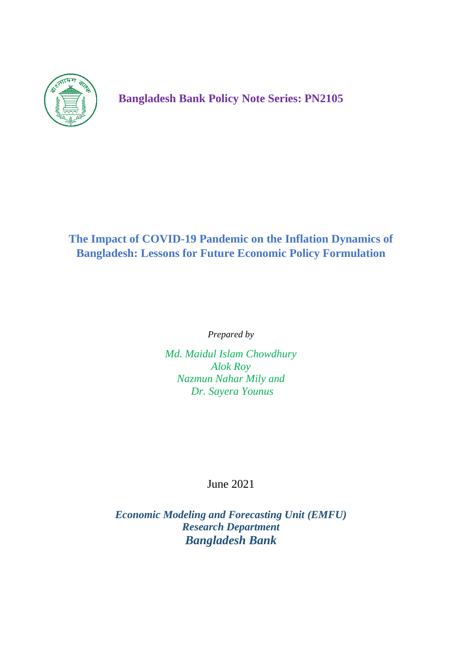

**Bangladesh Bank Policy Note Series: PN2105**

# **The Impact of COVID-19 Pandemic on the Inflation Dynamics of Bangladesh: Lessons for Future Economic Policy Formulation**

*Prepared by* 

*Md. Maidul Islam Chowdhury Alok Roy Nazmun Nahar Mily and Dr. Sayera Younus*

June 2021

*Economic Modeling and Forecasting Unit (EMFU) Research Department Bangladesh Bank*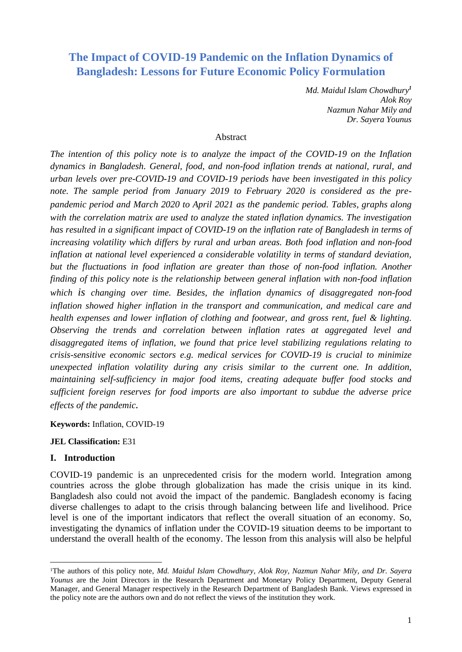# **The Impact of COVID-19 Pandemic on the Inflation Dynamics of Bangladesh: Lessons for Future Economic Policy Formulation**

*Md. Maidul Islam Chowdhury<sup>1</sup> Alok Roy Nazmun Nahar Mily and Dr. Sayera Younus* 

### **Abstract**

*The intention of this policy note is to analyze the impact of the COVID-19 on the Inflation dynamics in Bangladesh. General, food, and non-food inflation trends at national, rural, and urban levels over pre-COVID-19 and COVID-19 periods have been investigated in this policy note. The sample period from January 2019 to February 2020 is considered as the prepandemic period and March 2020 to April 2021 as the pandemic period. Tables, graphs along with the correlation matrix are used to analyze the stated inflation dynamics. The investigation has resulted in a significant impact of COVID-19 on the inflation rate of Bangladesh in terms of increasing volatility which differs by rural and urban areas. Both food inflation and non-food inflation at national level experienced a considerable volatility in terms of standard deviation,*  but the fluctuations in food inflation are greater than those of non-food inflation. Another *finding of this policy note is the relationship between general inflation with non-food inflation which is changing over time. Besides, the inflation dynamics of disaggregated non-food inflation showed higher inflation in the transport and communication, and medical care and health expenses and lower inflation of clothing and footwear, and gross rent, fuel & lighting. Observing the trends and correlation between inflation rates at aggregated level and disaggregated items of inflation, we found that price level stabilizing regulations relating to crisis-sensitive economic sectors e.g. medical services for COVID-19 is crucial to minimize unexpected inflation volatility during any crisis similar to the current one. In addition, maintaining self-sufficiency in major food items, creating adequate buffer food stocks and sufficient foreign reserves for food imports are also important to subdue the adverse price effects of the pandemic.*

**Keywords:** Inflation, COVID-19

### **JEL Classification:** E31

### **I. Introduction**

COVID-19 pandemic is an unprecedented crisis for the modern world. Integration among countries across the globe through globalization has made the crisis unique in its kind. Bangladesh also could not avoid the impact of the pandemic. Bangladesh economy is facing diverse challenges to adapt to the crisis through balancing between life and livelihood. Price level is one of the important indicators that reflect the overall situation of an economy. So, investigating the dynamics of inflation under the COVID-19 situation deems to be important to understand the overall health of the economy. The lesson from this analysis will also be helpful

<sup>1</sup>The authors of this policy note, *Md. Maidul Islam Chowdhury, Alok Roy, Nazmun Nahar Mily, and Dr. Sayera Younus* are the Joint Directors in the Research Department and Monetary Policy Department, Deputy General Manager, and General Manager respectively in the Research Department of Bangladesh Bank. Views expressed in the policy note are the authors own and do not reflect the views of the institution they work.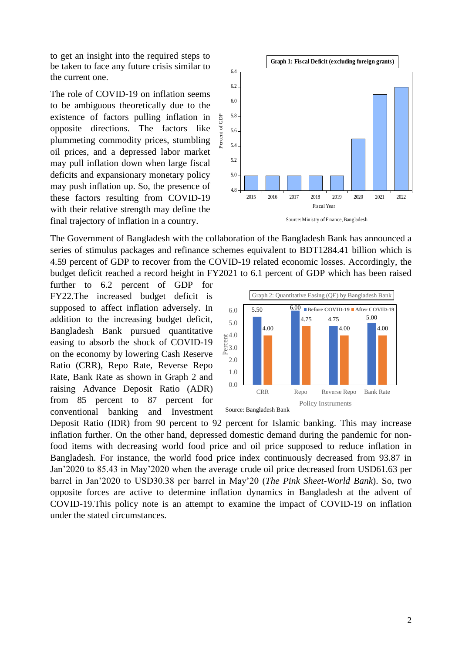to get an insight into the required steps to be taken to face any future crisis similar to the current one.

The role of COVID-19 on inflation seems to be ambiguous theoretically due to the existence of factors pulling inflation in opposite directions. The factors like plummeting commodity prices, stumbling oil prices, and a depressed labor market may pull inflation down when large fiscal deficits and expansionary monetary policy may push inflation up. So, the presence of these factors resulting from COVID-19 with their relative strength may define the final trajectory of inflation in a country.



Source:Ministry of Finance, Bangladesh

The Government of Bangladesh with the collaboration of the Bangladesh Bank has announced a series of stimulus packages and refinance schemes equivalent to BDT1284.41 billion which is 4.59 percent of GDP to recover from the COVID-19 related economic losses. Accordingly, the budget deficit reached a record height in FY2021 to 6.1 percent of GDP which has been raised

further to 6.2 percent of GDP for FY22.The increased budget deficit is supposed to affect inflation adversely. In addition to the increasing budget deficit, Bangladesh Bank pursued quantitative easing to absorb the shock of COVID-19 on the economy by lowering Cash Reserve Ratio (CRR), Repo Rate, Reverse Repo Rate, Bank Rate as shown in Graph 2 and raising Advance Deposit Ratio (ADR) from 85 percent to 87 percent for conventional banking and Investment



Deposit Ratio (IDR) from 90 percent to 92 percent for Islamic banking. This may increase inflation further. On the other hand, depressed domestic demand during the pandemic for nonfood items with decreasing world food price and oil price supposed to reduce inflation in Bangladesh. For instance, the world food price index continuously decreased from 93.87 in Jan'2020 to 85.43 in May'2020 when the average crude oil price decreased from USD61.63 per barrel in Jan'2020 to USD30.38 per barrel in May'20 (*The Pink Sheet-World Bank*). So, two opposite forces are active to determine inflation dynamics in Bangladesh at the advent of COVID-19.This policy note is an attempt to examine the impact of COVID-19 on inflation under the stated circumstances.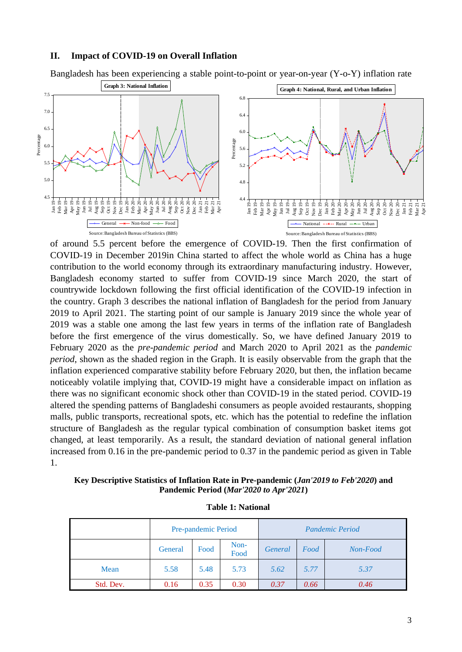#### **II. Impact of COVID-19 on Overall Inflation**



of around 5.5 percent before the emergence of COVID-19. Then the first confirmation of COVID-19 in December 2019in China started to affect the whole world as China has a huge contribution to the world economy through its extraordinary manufacturing industry. However, Bangladesh economy started to suffer from COVID-19 since March 2020, the start of countrywide lockdown following the first official identification of the COVID-19 infection in the country. Graph 3 describes the national inflation of Bangladesh for the period from January 2019 to April 2021. The starting point of our sample is January 2019 since the whole year of 2019 was a stable one among the last few years in terms of the inflation rate of Bangladesh before the first emergence of the virus domestically. So, we have defined January 2019 to February 2020 as the *pre-pandemic period* and March 2020 to April 2021 as the *pandemic period*, shown as the shaded region in the Graph. It is easily observable from the graph that the inflation experienced comparative stability before February 2020, but then, the inflation became noticeably volatile implying that, COVID-19 might have a considerable impact on inflation as there was no significant economic shock other than COVID-19 in the stated period. COVID-19 altered the spending patterns of Bangladeshi consumers as people avoided restaurants, shopping malls, public transports, recreational spots, etc. which has the potential to redefine the inflation structure of Bangladesh as the regular typical combination of consumption basket items got changed, at least temporarily. As a result, the standard deviation of national general inflation increased from 0.16 in the pre-pandemic period to 0.37 in the pandemic period as given in Table 1.

**Key Descriptive Statistics of Inflation Rate in Pre-pandemic (***Jan'2019 to Feb'2020***) and Pandemic Period (***Mar'2020 to Apr'2021***)**

|           |         | Pre-pandemic Period |              | Pandemic Period |      |          |  |  |
|-----------|---------|---------------------|--------------|-----------------|------|----------|--|--|
|           | General | Food                | Non-<br>Food | General         | Food | Non-Food |  |  |
| Mean      | 5.58    | 5.48                | 5.73         | 5.62            | 5.77 | 5.37     |  |  |
| Std. Dev. | 0.16    | 0.35                | 0.30         | 0.37            | 0.66 | 0.46     |  |  |

**Table 1: National**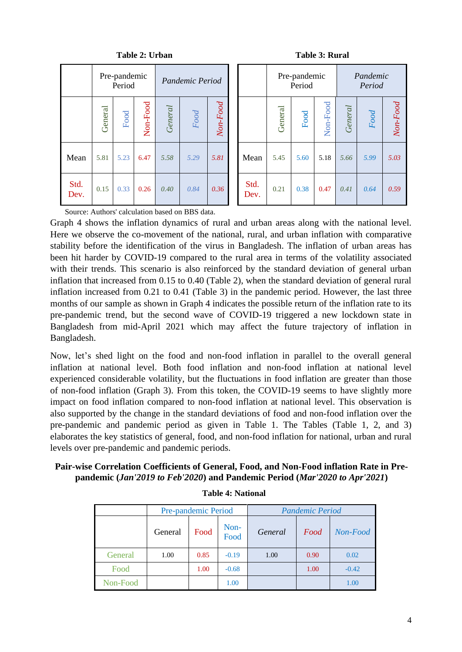|              |         | таріс 2. Стран         |          |         | Tanic si        |         |              |         |                        |                                     |
|--------------|---------|------------------------|----------|---------|-----------------|---------|--------------|---------|------------------------|-------------------------------------|
|              |         | Pre-pandemic<br>Period |          |         | Pandemic Period |         |              |         | Pre-pandemic<br>Period |                                     |
|              | General | Food                   | Non-Food | General | $Food$          | NonFood |              | General | Food                   | $\Gamma_{\alpha\alpha}$<br>$N \sim$ |
| Mean         | 5.81    | 5.23                   | 6.47     | 5.58    | 5.29            | 5.81    | Mean         | 5.45    | 5.60                   | 5.1                                 |
| Std.<br>Dev. | 0.15    | 0.33                   | 0.26     | 0.40    | 0.84            | 0.36    | Std.<br>Dev. | 0.21    | 0.38                   | 0.4                                 |

**Table 2: Urban Table 3: Rural**

|              | Pre-pandemic<br>Period |      |          | Pandemic Period |      |         |              | Pre-pandemic<br>Period |      |          | Pandemic<br>Period |      |          |
|--------------|------------------------|------|----------|-----------------|------|---------|--------------|------------------------|------|----------|--------------------|------|----------|
|              | General                | Food | Non-Food | General         | Food | NonFood |              | General                | Food | Non-Food | General            | Food | Non-Food |
| Mean         | 5.81                   | 5.23 | 6.47     | 5.58            | 5.29 | 5.81    | Mean         | 5.45                   | 5.60 | 5.18     | 5.66               | 5.99 | 5.03     |
| Std.<br>Dev. | 0.15                   | 0.33 | 0.26     | 0.40            | 0.84 | 0.36    | Std.<br>Dev. | 0.21                   | 0.38 | 0.47     | 0.41               | 0.64 | 0.59     |

Source: Authors' calculation based on BBS data.

Graph 4 shows the inflation dynamics of rural and urban areas along with the national level. Here we observe the co-movement of the national, rural, and urban inflation with comparative stability before the identification of the virus in Bangladesh. The inflation of urban areas has been hit harder by COVID-19 compared to the rural area in terms of the volatility associated with their trends. This scenario is also reinforced by the standard deviation of general urban inflation that increased from 0.15 to 0.40 (Table 2), when the standard deviation of general rural inflation increased from 0.21 to 0.41 (Table 3) in the pandemic period. However, the last three months of our sample as shown in Graph 4 indicates the possible return of the inflation rate to its pre-pandemic trend, but the second wave of COVID-19 triggered a new lockdown state in Bangladesh from mid-April 2021 which may affect the future trajectory of inflation in Bangladesh.

Now, let's shed light on the food and non-food inflation in parallel to the overall general inflation at national level. Both food inflation and non-food inflation at national level experienced considerable volatility, but the fluctuations in food inflation are greater than those of non-food inflation (Graph 3). From this token, the COVID-19 seems to have slightly more impact on food inflation compared to non-food inflation at national level. This observation is also supported by the change in the standard deviations of food and non-food inflation over the pre-pandemic and pandemic period as given in Table 1. The Tables (Table 1, 2, and 3) elaborates the key statistics of general, food, and non-food inflation for national, urban and rural levels over pre-pandemic and pandemic periods.

**Pair-wise Correlation Coefficients of General, Food, and Non-Food inflation Rate in Prepandemic (***Jan'2019 to Feb'2020***) and Pandemic Period (***Mar'2020 to Apr'2021***)**

|          |                                 | Pre-pandemic Period |         | <b>Pandemic Period</b> |          |         |  |  |  |
|----------|---------------------------------|---------------------|---------|------------------------|----------|---------|--|--|--|
|          | Non-<br>Food<br>General<br>Food |                     | General | Food                   | Non-Food |         |  |  |  |
| General  | 1.00                            | 0.85                | $-0.19$ | 1.00                   | 0.90     | 0.02    |  |  |  |
| Food     |                                 | 1.00                | $-0.68$ |                        | 1.00     | $-0.42$ |  |  |  |
| Non-Food |                                 |                     | 1.00    |                        |          | 1.00    |  |  |  |

**Table 4: National**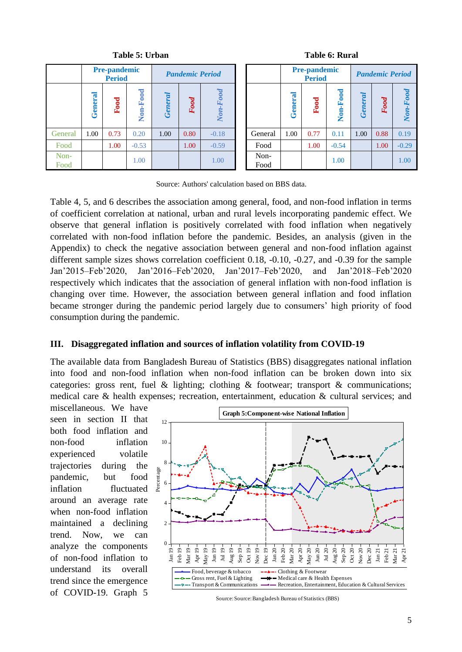|              | <b>Pre-pandemic</b><br><b>Period</b> |      |                          | <b>Pandemic Period</b> |      |              |              | <b>Pre-pandemic</b><br><b>Period</b> |      |          | <b>Pandemic Period</b> |      |              |  |
|--------------|--------------------------------------|------|--------------------------|------------------------|------|--------------|--------------|--------------------------------------|------|----------|------------------------|------|--------------|--|
|              | General                              | Food | -Food<br>N <sub>on</sub> | General                | Food | Food<br>Non. |              | General                              | Food | Non-Food | ĮD.<br>ē<br>Gen        | Food | Food<br>Non- |  |
| General      | 1.00                                 | 0.73 | 0.20                     | 1.00                   | 0.80 | $-0.18$      | General      | 1.00                                 | 0.77 | 0.11     | 1.00                   | 0.88 | 0.19         |  |
| Food         |                                      | 1.00 | $-0.53$                  |                        | 1.00 | $-0.59$      | Food         |                                      | 1.00 | $-0.54$  |                        | 1.00 | $-0.29$      |  |
| Non-<br>Food |                                      |      | 1.00                     |                        |      | 1.00         | Non-<br>Food |                                      |      | 1.00     |                        |      | 1.00         |  |

**Table 5: Urban Table 6: Rural**

|              |        | <b>Pre-pandemic</b><br><b>Period</b> |          | <b>Pandemic Period</b> |      |            |  |  |  |
|--------------|--------|--------------------------------------|----------|------------------------|------|------------|--|--|--|
|              | Genera | Food                                 | Non-Food | General                | Food | $Non-Food$ |  |  |  |
| General      | 1.00   | 0.77                                 | 0.11     | 1.00                   | 0.88 | 0.19       |  |  |  |
| Food         |        | 1.00                                 | $-0.54$  |                        | 1.00 | $-0.29$    |  |  |  |
| Non-<br>Food |        |                                      | 1.00     |                        |      | 1.00       |  |  |  |

Source: Authors' calculation based on BBS data.

Table 4, 5, and 6 describes the association among general, food, and non-food inflation in terms of coefficient correlation at national, urban and rural levels incorporating pandemic effect. We observe that general inflation is positively correlated with food inflation when negatively correlated with non-food inflation before the pandemic. Besides, an analysis (given in the Appendix) to check the negative association between general and non-food inflation against different sample sizes shows correlation coefficient 0.18, -0.10, -0.27, and -0.39 for the sample Jan'2015–Feb'2020, Jan'2016–Feb'2020, Jan'2017–Feb'2020, and Jan'2018–Feb'2020 respectively which indicates that the association of general inflation with non-food inflation is changing over time. However, the association between general inflation and food inflation became stronger during the pandemic period largely due to consumers' high priority of food consumption during the pandemic.

### **III. Disaggregated inflation and sources of inflation volatility from COVID-19**

The available data from Bangladesh Bureau of Statistics (BBS) disaggregates national inflation into food and non-food inflation when non-food inflation can be broken down into six categories: gross rent, fuel & lighting; clothing & footwear; transport & communications; medical care & health expenses; recreation, entertainment, education & cultural services; and

miscellaneous. We have seen in section II that both food inflation and non-food inflation experienced volatile trajectories during the pandemic, but food inflation fluctuated around an average rate when non-food inflation maintained a declining trend. Now, we can analyze the components of non-food inflation to understand its overall trend since the emergence of COVID-19. Graph 5



Source:Source:Bangladesh Bureau of Statistics (BBS)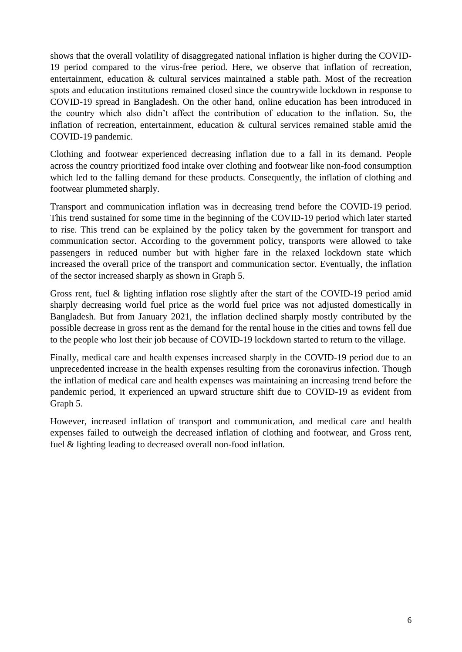shows that the overall volatility of disaggregated national inflation is higher during the COVID-19 period compared to the virus-free period. Here, we observe that inflation of recreation, entertainment, education & cultural services maintained a stable path. Most of the recreation spots and education institutions remained closed since the countrywide lockdown in response to COVID-19 spread in Bangladesh. On the other hand, online education has been introduced in the country which also didn't affect the contribution of education to the inflation. So, the inflation of recreation, entertainment, education & cultural services remained stable amid the COVID-19 pandemic.

Clothing and footwear experienced decreasing inflation due to a fall in its demand. People across the country prioritized food intake over clothing and footwear like non-food consumption which led to the falling demand for these products. Consequently, the inflation of clothing and footwear plummeted sharply.

Transport and communication inflation was in decreasing trend before the COVID-19 period. This trend sustained for some time in the beginning of the COVID-19 period which later started to rise. This trend can be explained by the policy taken by the government for transport and communication sector. According to the government policy, transports were allowed to take passengers in reduced number but with higher fare in the relaxed lockdown state which increased the overall price of the transport and communication sector. Eventually, the inflation of the sector increased sharply as shown in Graph 5.

Gross rent, fuel & lighting inflation rose slightly after the start of the COVID-19 period amid sharply decreasing world fuel price as the world fuel price was not adjusted domestically in Bangladesh. But from January 2021, the inflation declined sharply mostly contributed by the possible decrease in gross rent as the demand for the rental house in the cities and towns fell due to the people who lost their job because of COVID-19 lockdown started to return to the village.

Finally, medical care and health expenses increased sharply in the COVID-19 period due to an unprecedented increase in the health expenses resulting from the coronavirus infection. Though the inflation of medical care and health expenses was maintaining an increasing trend before the pandemic period, it experienced an upward structure shift due to COVID-19 as evident from Graph 5.

However, increased inflation of transport and communication, and medical care and health expenses failed to outweigh the decreased inflation of clothing and footwear, and Gross rent, fuel & lighting leading to decreased overall non-food inflation.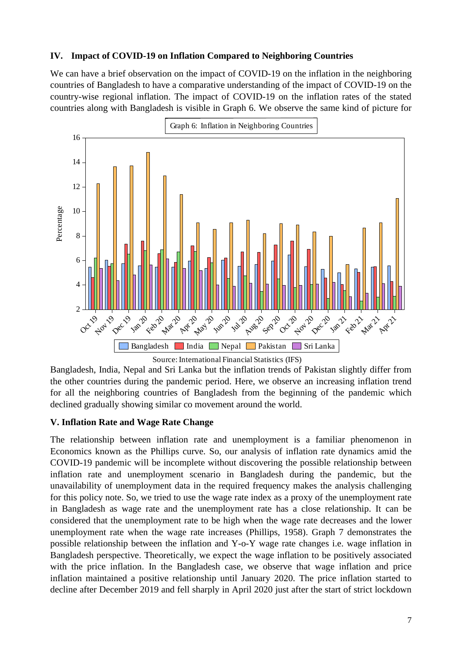## **IV. Impact of COVID-19 on Inflation Compared to Neighboring Countries**

We can have a brief observation on the impact of COVID-19 on the inflation in the neighboring countries of Bangladesh to have a comparative understanding of the impact of COVID-19 on the country-wise regional inflation. The impact of COVID-19 on the inflation rates of the stated countries along with Bangladesh is visible in Graph 6. We observe the same kind of picture for



Source: International Financial Statistics (IFS)

Bangladesh, India, Nepal and Sri Lanka but the inflation trends of Pakistan slightly differ from the other countries during the pandemic period. Here, we observe an increasing inflation trend for all the neighboring countries of Bangladesh from the beginning of the pandemic which declined gradually showing similar co movement around the world.

## **V. Inflation Rate and Wage Rate Change**

The relationship between inflation rate and unemployment is a familiar phenomenon in Economics known as the Phillips curve. So, our analysis of inflation rate dynamics amid the COVID-19 pandemic will be incomplete without discovering the possible relationship between inflation rate and unemployment scenario in Bangladesh during the pandemic, but the unavailability of unemployment data in the required frequency makes the analysis challenging for this policy note. So, we tried to use the wage rate index as a proxy of the unemployment rate in Bangladesh as wage rate and the unemployment rate has a close relationship. It can be considered that the unemployment rate to be high when the wage rate decreases and the lower unemployment rate when the wage rate increases (Phillips, 1958). Graph 7 demonstrates the possible relationship between the inflation and Y-o-Y wage rate changes i.e. wage inflation in Bangladesh perspective. Theoretically, we expect the wage inflation to be positively associated with the price inflation. In the Bangladesh case, we observe that wage inflation and price inflation maintained a positive relationship until January 2020. The price inflation started to decline after December 2019 and fell sharply in April 2020 just after the start of strict lockdown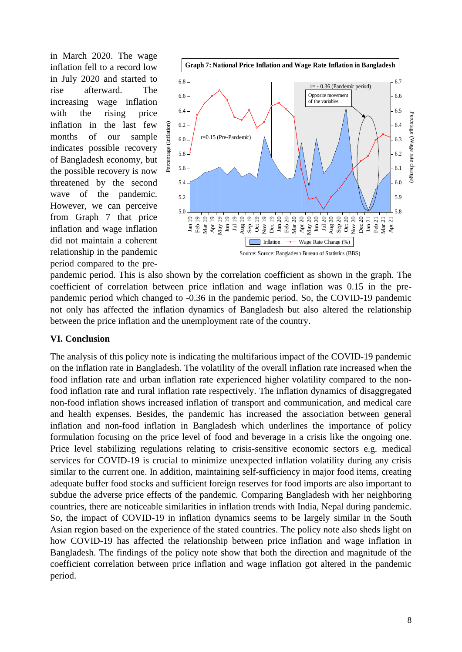in March 2020. The wage inflation fell to a record low in July 2020 and started to rise afterward. The increasing wage inflation with the rising price inflation in the last few months of our sample indicates possible recovery of Bangladesh economy, but the possible recovery is now threatened by the second wave of the pandemic. However, we can perceive from Graph 7 that price inflation and wage inflation did not maintain a coherent relationship in the pandemic period compared to the pre-



pandemic period. This is also shown by the correlation coefficient as shown in the graph. The coefficient of correlation between price inflation and wage inflation was 0.15 in the prepandemic period which changed to -0.36 in the pandemic period. So, the COVID-19 pandemic not only has affected the inflation dynamics of Bangladesh but also altered the relationship between the price inflation and the unemployment rate of the country.

## **VI. Conclusion**

The analysis of this policy note is indicating the multifarious impact of the COVID-19 pandemic on the inflation rate in Bangladesh. The volatility of the overall inflation rate increased when the food inflation rate and urban inflation rate experienced higher volatility compared to the nonfood inflation rate and rural inflation rate respectively. The inflation dynamics of disaggregated non-food inflation shows increased inflation of transport and communication, and medical care and health expenses. Besides, the pandemic has increased the association between general inflation and non-food inflation in Bangladesh which underlines the importance of policy formulation focusing on the price level of food and beverage in a crisis like the ongoing one. Price level stabilizing regulations relating to crisis-sensitive economic sectors e.g. medical services for COVID-19 is crucial to minimize unexpected inflation volatility during any crisis similar to the current one. In addition, maintaining self-sufficiency in major food items, creating adequate buffer food stocks and sufficient foreign reserves for food imports are also important to subdue the adverse price effects of the pandemic. Comparing Bangladesh with her neighboring countries, there are noticeable similarities in inflation trends with India, Nepal during pandemic. So, the impact of COVID-19 in inflation dynamics seems to be largely similar in the South Asian region based on the experience of the stated countries. The policy note also sheds light on how COVID-19 has affected the relationship between price inflation and wage inflation in Bangladesh. The findings of the policy note show that both the direction and magnitude of the coefficient correlation between price inflation and wage inflation got altered in the pandemic period.